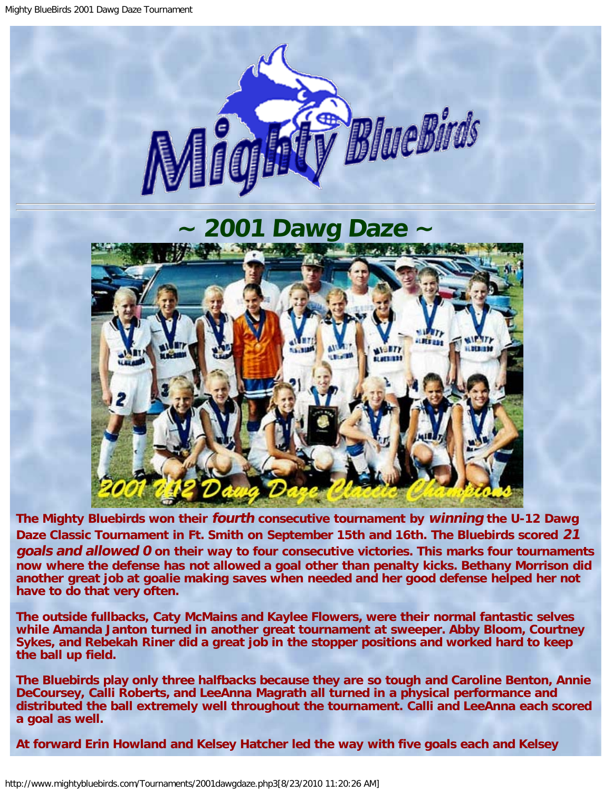<span id="page-0-0"></span>

**The Mighty Bluebirds won their fourth consecutive tournament by winning the U-12 Dawg Daze Classic Tournament in Ft. Smith on September 15th and 16th. The Bluebirds scored 21 goals and allowed 0 on their way to four consecutive victories. This marks four tournaments now where the defense has not allowed a goal other than penalty kicks. Bethany Morrison did another great job at goalie making saves when needed and her good defense helped her not have to do that very often.**

**The outside fullbacks, Caty McMains and Kaylee Flowers, were their normal fantastic selves while Amanda Janton turned in another great tournament at sweeper. Abby Bloom, Courtney Sykes, and Rebekah Riner did a great job in the stopper positions and worked hard to keep the ball up field.**

**The Bluebirds play only three halfbacks because they are so tough and Caroline Benton, Annie DeCoursey, Calli Roberts, and LeeAnna Magrath all turned in a physical performance and distributed the ball extremely well throughout the tournament. Calli and LeeAnna each scored a goal as well.**

**At forward Erin Howland and Kelsey Hatcher led the way with five goals each and Kelsey**